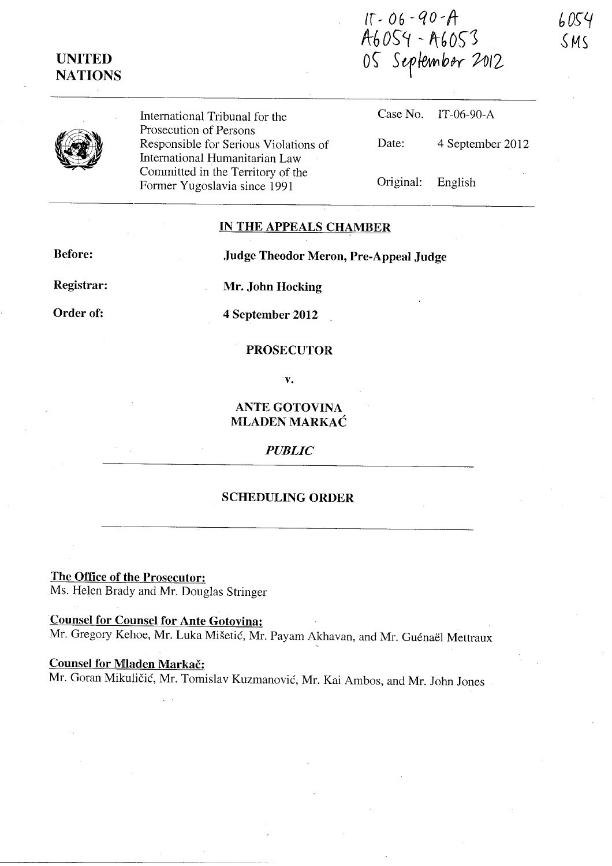# **UNITED NATIONS**

**Ir** ~ 06 - *q* <sup>0</sup>~ It A6054 - A6053 05 September 2012



International Tribunal for the Prosecution of Persons Responsible for Serious Violations of International Humanitarian Law Committed in the Territory of the Former Yugoslavia since 1991

Case No. IT-06-90-A Date: 4 September 2012 Original: English

# **IN THE APPEALS CHAMBER**

**Before:** 

**Judge Theodor Meron, Pre-Appeal Judge** 

**Registrar:** 

**Order of:** 

**Mr. John Hocking** 

**4 September 2012** 

## **PROSECUTOR**

**v.** 

**ANTE GOTOVINA MLADEN MARKAC** 

#### *PUBLIC*

#### **SCHEDULING ORDER**

**The Office of the Prosecutor:**  Ms. Helen Brady and Mr. Douglas Stringer

**·Counsel for Counsel for Ante Gotovina:**  Mr. Gregory Kehoe, Mr. Luka Mišetić, Mr. Payam Akhavan, and Mr. Guénaël Mettraux

# **Counsel for Mladen Markac:**

Mr. Goran Mikulicic, Mr. Tomislav Kuzmanovic, Mr. Kai Ambos, and Mr. John Jones